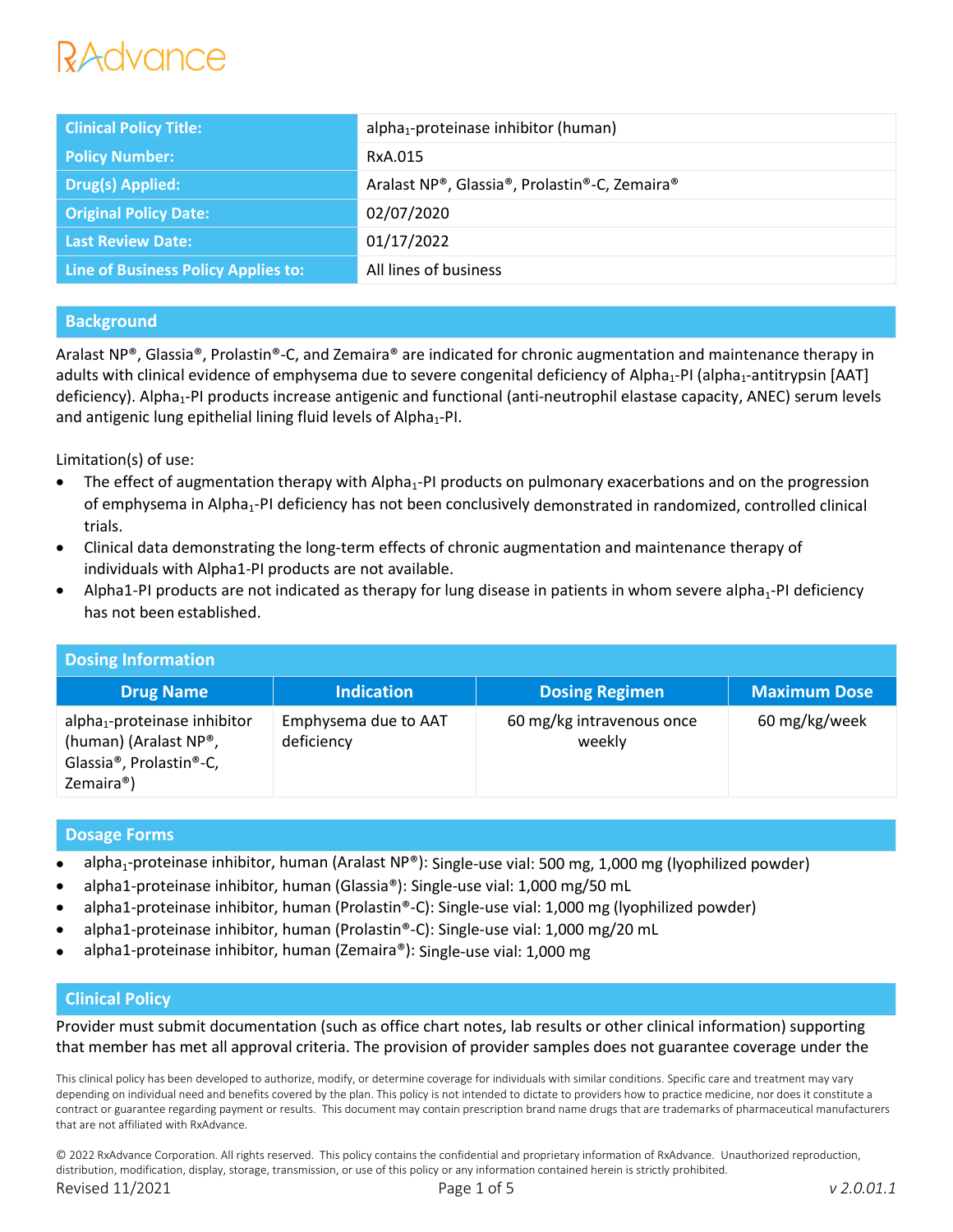# *Advance*

| <b>Clinical Policy Title:</b>       | alpha <sub>1</sub> -proteinase inhibitor (human) |
|-------------------------------------|--------------------------------------------------|
| <b>Policy Number:</b>               | RxA.015                                          |
| Drug(s) Applied:                    | Aralast NP®, Glassia®, Prolastin®-C, Zemaira®    |
| <b>Original Policy Date:</b>        | 02/07/2020                                       |
| <b>Last Review Date:</b>            | 01/17/2022                                       |
| Line of Business Policy Applies to: | All lines of business                            |

## **Background**

Aralast NP®, Glassia®, Prolastin®-C, and Zemaira® are indicated for chronic augmentation and maintenance therapy in adults with clinical evidence of emphysema due to severe congenital deficiency of Alpha<sub>1</sub>-PI (alpha<sub>1</sub>-antitrypsin [AAT] deficiency). Alpha<sub>1</sub>-PI products increase antigenic and functional (anti-neutrophil elastase capacity, ANEC) serum levels and antigenic lung epithelial lining fluid levels of Alpha<sub>1</sub>-PI.

Limitation(s) of use:

- $\bullet$  The effect of augmentation therapy with Alpha<sub>1</sub>-PI products on pulmonary exacerbations and on the progression of emphysema in Alpha<sub>1</sub>-PI deficiency has not been conclusively demonstrated in randomized, controlled clinical trials.
- Clinical data demonstrating the long-term effects of chronic augmentation and maintenance therapy of individuals with Alpha1-PI products are not available.
- Alpha1-PI products are not indicated as therapy for lung disease in patients in whom severe alpha<sub>1</sub>-PI deficiency has not been established.

| <b>Dosing Information</b>                                                                                                                        |                                    |                                     |                     |  |  |  |
|--------------------------------------------------------------------------------------------------------------------------------------------------|------------------------------------|-------------------------------------|---------------------|--|--|--|
| <b>Drug Name</b>                                                                                                                                 | <b>Indication</b>                  | <b>Dosing Regimen</b>               | <b>Maximum Dose</b> |  |  |  |
| alpha <sub>1</sub> -proteinase inhibitor<br>(human) (Aralast NP®,<br>Glassia <sup>®</sup> , Prolastin <sup>®</sup> -C,<br>Zemaira <sup>®</sup> ) | Emphysema due to AAT<br>deficiency | 60 mg/kg intravenous once<br>weekly | 60 mg/kg/week       |  |  |  |

## **Dosage Forms**

- alpha<sub>1</sub>-proteinase inhibitor, human (Aralast NP®): Single-use vial: 500 mg, 1,000 mg (lyophilized powder)
- alpha1-proteinase inhibitor, human (Glassia®): Single-use vial: 1,000 mg/50 mL
- alpha1-proteinase inhibitor, human (Prolastin®-C): Single-use vial: 1,000 mg (lyophilized powder)
- alpha1-proteinase inhibitor, human (Prolastin®-C): Single-use vial: 1,000 mg/20 mL
- alpha1-proteinase inhibitor, human (Zemaira®): Single-use vial: 1,000 mg

## **Clinical Policy**

Provider must submit documentation (such as office chart notes, lab results or other clinical information) supporting that member has met all approval criteria. The provision of provider samples does not guarantee coverage under the

This clinical policy has been developed to authorize, modify, or determine coverage for individuals with similar conditions. Specific care and treatment may vary depending on individual need and benefits covered by the plan. This policy is not intended to dictate to providers how to practice medicine, nor does it constitute a contract or guarantee regarding payment or results. This document may contain prescription brand name drugs that are trademarks of pharmaceutical manufacturers that are not affiliated with RxAdvance.

© 2022 RxAdvance Corporation. All rights reserved. This policy contains the confidential and proprietary information of RxAdvance. Unauthorized reproduction, distribution, modification, display, storage, transmission, or use of this policy or any information contained herein is strictly prohibited. Revised 11/2021 Page 1 of 5 *v 2.0.01.1*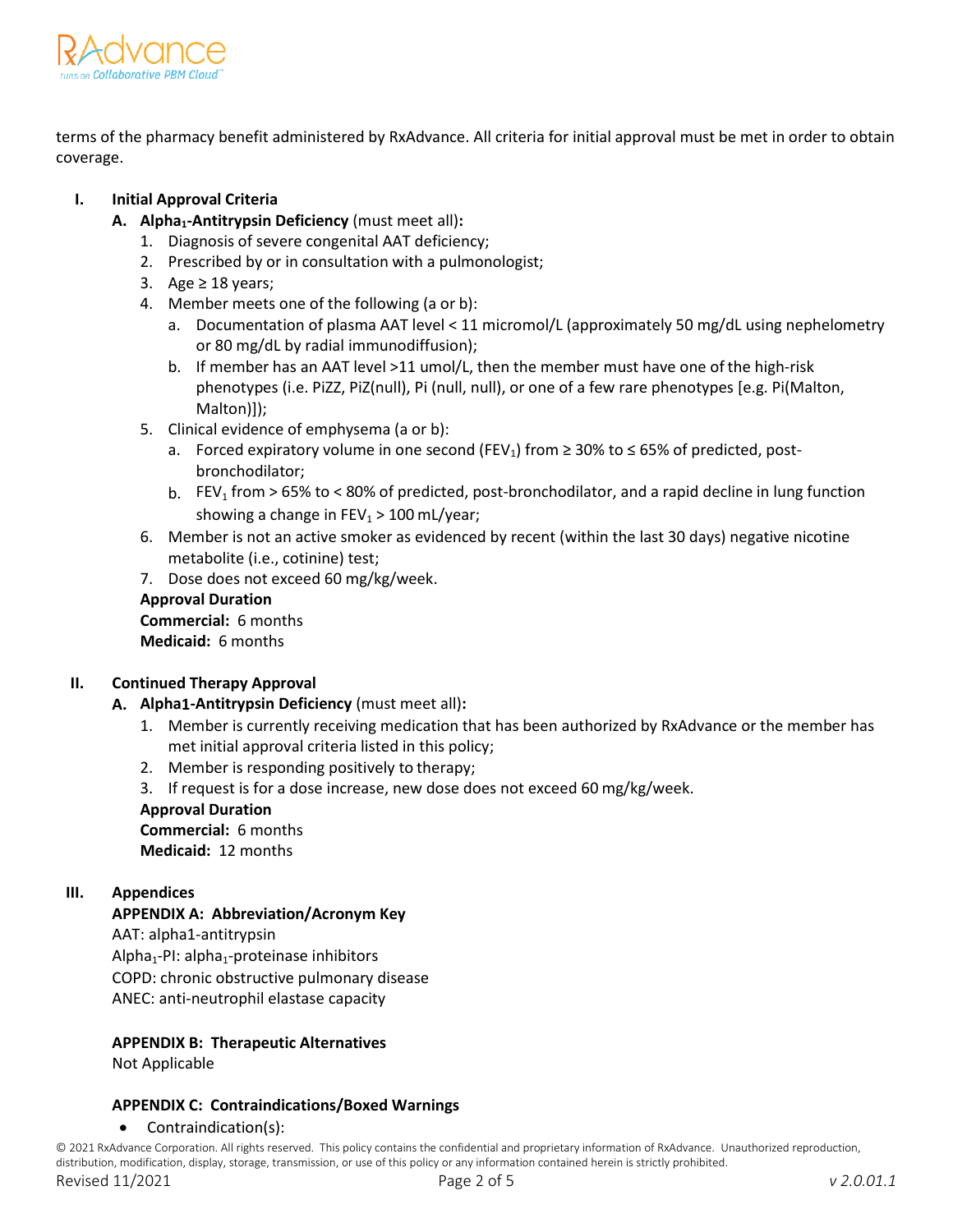

terms of the pharmacy benefit administered by RxAdvance. All criteria for initial approval must be met in order to obtain coverage.

## **I. Initial Approval Criteria**

- **A. Alpha1-Antitrypsin Deficiency** (must meet all)**:**
	- 1. Diagnosis of severe congenital AAT deficiency;
	- 2. Prescribed by or in consultation with a pulmonologist;
	- 3. Age  $\geq$  18 years;
	- 4. Member meets one of the following (a or b):
		- a. Documentation of plasma AAT level < 11 micromol/L (approximately 50 mg/dL using nephelometry or 80 mg/dL by radial immunodiffusion);
		- b. If member has an AAT level >11 umol/L, then the member must have one of the high-risk phenotypes (i.e. PiZZ, PiZ(null), Pi (null, null), or one of a few rare phenotypes [e.g. Pi(Malton, Malton)]);
	- 5. Clinical evidence of emphysema (a or b):
		- a. Forced expiratory volume in one second (FEV<sub>1</sub>) from  $\geq$  30% to  $\leq$  65% of predicted, postbronchodilator;
		- b.  $FEV_1$  from > 65% to < 80% of predicted, post-bronchodilator, and a rapid decline in lung function showing a change in  $FEV_1 > 100$  mL/year;
	- 6. Member is not an active smoker as evidenced by recent (within the last 30 days) negative nicotine metabolite (i.e., cotinine) test;
	- 7. Dose does not exceed 60 mg/kg/week.

## **Approval Duration**

**Commercial:** 6 months **Medicaid:** 6 months

## **II. Continued Therapy Approval**

- **A. Alpha1-Antitrypsin Deficiency** (must meet all)**:**
	- 1. Member is currently receiving medication that has been authorized by RxAdvance or the member has met initial approval criteria listed in this policy;
	- 2. Member is responding positively to therapy;
	- 3. If request is for a dose increase, new dose does not exceed 60 mg/kg/week. **Approval Duration**

**Commercial:** 6 months **Medicaid:** 12 months

## **III. Appendices**

## **APPENDIX A: Abbreviation/Acronym Key**

AAT: alpha1-antitrypsin Alpha<sub>1</sub>-PI: alpha<sub>1</sub>-proteinase inhibitors COPD: chronic obstructive pulmonary disease ANEC: anti-neutrophil elastase capacity

## **APPENDIX B: Therapeutic Alternatives**

Not Applicable

## **APPENDIX C: Contraindications/Boxed Warnings**

#### • Contraindication(s):

© 2021 RxAdvance Corporation. All rights reserved. This policy contains the confidential and proprietary information of RxAdvance. Unauthorized reproduction, distribution, modification, display, storage, transmission, or use of this policy or any information contained herein is strictly prohibited.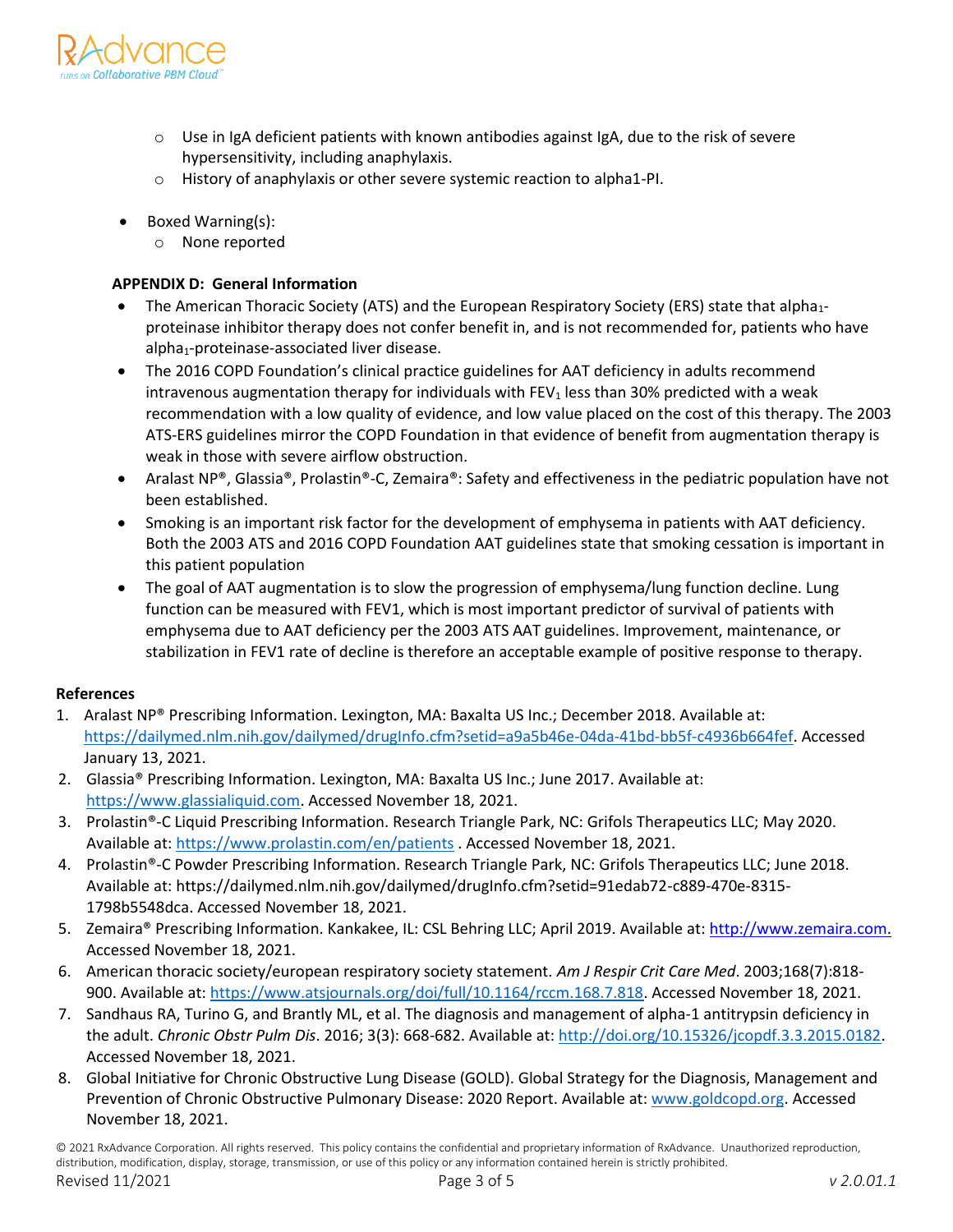

- $\circ$  Use in IgA deficient patients with known antibodies against IgA, due to the risk of severe hypersensitivity, including anaphylaxis.
- o History of anaphylaxis or other severe systemic reaction to alpha1-PI.
- Boxed Warning(s):
	- None reported

## **APPENDIX D: General Information**

- The American Thoracic Society (ATS) and the European Respiratory Society (ERS) state that alpha<sub>1</sub>proteinase inhibitor therapy does not confer benefit in, and is not recommended for, patients who have alpha<sub>1</sub>-proteinase-associated liver disease.
- The 2016 COPD Foundation's clinical practice guidelines for AAT deficiency in adults recommend intravenous augmentation therapy for individuals with  $FEV<sub>1</sub>$  less than 30% predicted with a weak recommendation with a low quality of evidence, and low value placed on the cost of this therapy. The 2003 ATS-ERS guidelines mirror the COPD Foundation in that evidence of benefit from augmentation therapy is weak in those with severe airflow obstruction.
- Aralast NP®, Glassia®, Prolastin®-C, Zemaira®: Safety and effectiveness in the pediatric population have not been established.
- Smoking is an important risk factor for the development of emphysema in patients with AAT deficiency. Both the 2003 ATS and 2016 COPD Foundation AAT guidelines state that smoking cessation is important in this patient population
- The goal of AAT augmentation is to slow the progression of emphysema/lung function decline. Lung function can be measured with FEV1, which is most important predictor of survival of patients with emphysema due to AAT deficiency per the 2003 ATS AAT guidelines. Improvement, maintenance, or stabilization in FEV1 rate of decline is therefore an acceptable example of positive response to therapy.

## **References**

- 1. Aralast NP® Prescribing Information. Lexington, MA: Baxalta US Inc.; December 2018. Available at: [https://dailymed.nlm.nih.gov/dailymed/drugInfo.cfm?setid=a9a5b46e-04da-41bd-bb5f-c4936b664fef.](https://dailymed.nlm.nih.gov/dailymed/drugInfo.cfm?setid=a9a5b46e-04da-41bd-bb5f-c4936b664fef) Accessed January 13, 2021.
- 2. Glassia® Prescribing Information. Lexington, MA: Baxalta US Inc.; June 2017. Available at: [https://www.glassialiquid.com.](https://www.glassialiquid.com/) Accessed November 18, 2021.
- 3. Prolastin®-C Liquid Prescribing Information. Research Triangle Park, NC: Grifols Therapeutics LLC; May 2020. Available at:<https://www.prolastin.com/en/patients> [.](http://www.prolastin.com/) Accessed November 18, 2021.
- 4. Prolastin®-C Powder Prescribing Information. Research Triangle Park, NC: Grifols Therapeutics LLC; June 2018. Available at: https://dailymed.nlm.nih.gov/dailymed/drugInfo.cfm?setid=91edab72-c889-470e-8315- 1798b5548dca. Accessed November 18, 2021.
- 5. Zemaira® Prescribing Information. Kankakee, IL: CSL Behring LLC; April 2019. Available at: [http://www.zemaira.com.](http://www.zemaira.com/) Accessed November 18, 2021.
- 6. American thoracic society/european respiratory society statement. *Am J Respir Crit Care Med*. 2003;168(7):818- 900. Available at: [https://www.atsjournals.org/doi/full/10.1164/rccm.168.7.818.](https://www.atsjournals.org/doi/full/10.1164/rccm.168.7.818) Accessed November 18, 2021.
- 7. Sandhaus RA, Turino G, and Brantly ML, et al. The diagnosis and management of alpha-1 antitrypsin deficiency in the adult. *Chronic Obstr Pulm Dis*. 2016; 3(3): 668-682. Available at: [http://doi.org/10.15326/jcopdf.3.3.2015.0182.](http://doi.org/10.15326/jcopdf.3.3.2015.0182) Accessed November 18, 2021.
- 8. Global Initiative for Chronic Obstructive Lung Disease (GOLD). Global Strategy for the Diagnosis, Management and Prevention of Chronic Obstructive Pulmonary Disease: 2020 Report. Available at[: www.goldcopd.org.](http://www.goldcopd.org/) Accessed November 18, 2021.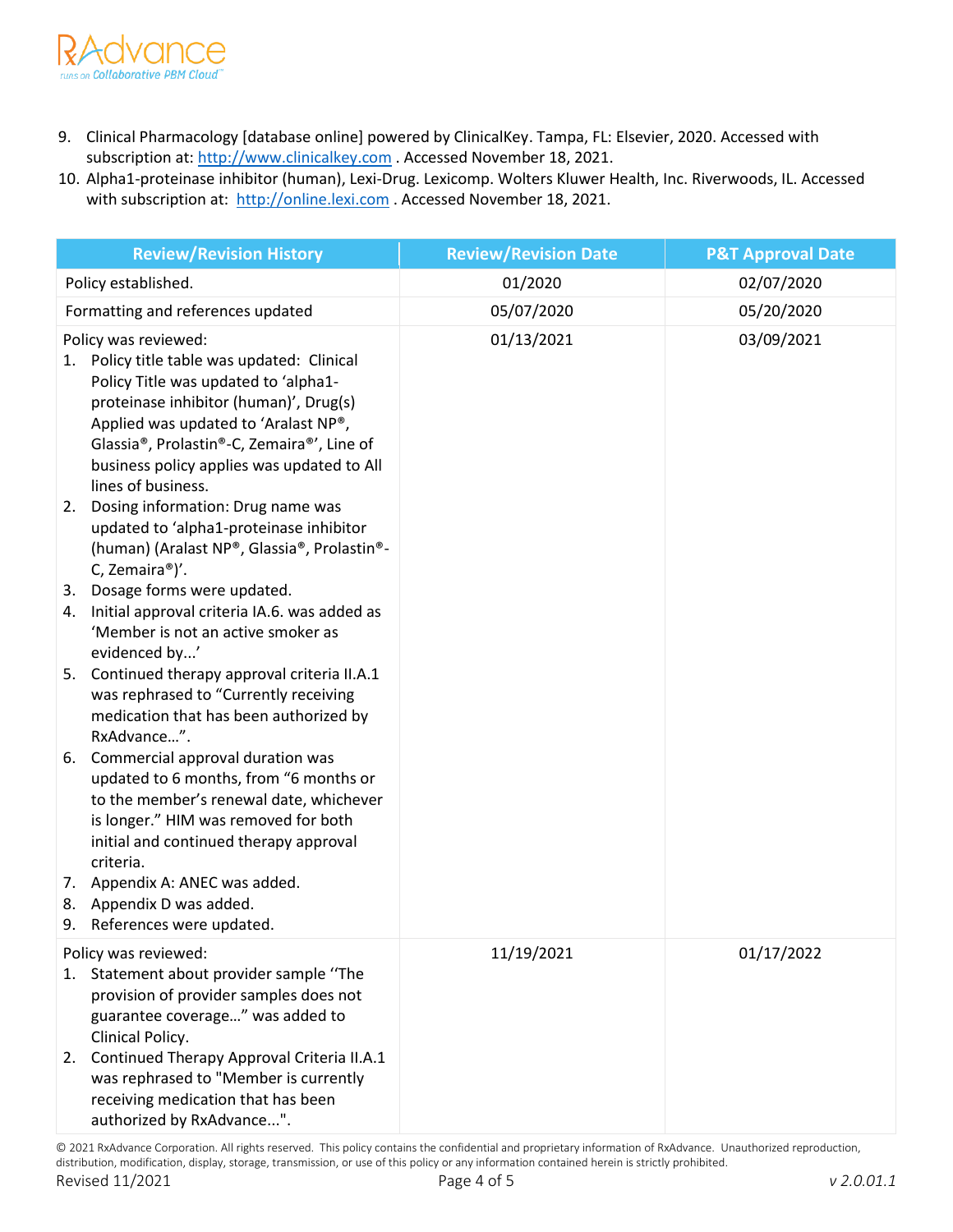

- 9. Clinical Pharmacology [database online] powered by ClinicalKey. Tampa, FL: Elsevier, 2020. Accessed with subscription at: [http://www.clinicalkey.com](http://www.clinicalkey.com/) . Accessed November 18, 2021.
- 10. Alpha1-proteinase inhibitor (human), Lexi-Drug. Lexicomp. Wolters Kluwer Health, Inc. Riverwoods, IL. Accessed with subscription at: [http://online.lexi.com](http://online.lexi.com/) . Accessed November 18, 2021.

| <b>Review/Revision History</b>                                                                                                                                                                                                                                                                                                  | <b>Review/Revision Date</b> | <b>P&amp;T Approval Date</b> |
|---------------------------------------------------------------------------------------------------------------------------------------------------------------------------------------------------------------------------------------------------------------------------------------------------------------------------------|-----------------------------|------------------------------|
| Policy established.                                                                                                                                                                                                                                                                                                             | 01/2020                     | 02/07/2020                   |
| Formatting and references updated                                                                                                                                                                                                                                                                                               | 05/07/2020                  | 05/20/2020                   |
| Policy was reviewed:<br>Policy title table was updated: Clinical<br>1.<br>Policy Title was updated to 'alpha1-<br>proteinase inhibitor (human)', Drug(s)<br>Applied was updated to 'Aralast NP®,<br>Glassia <sup>®</sup> , Prolastin®-C, Zemaira®', Line of<br>business policy applies was updated to All<br>lines of business. | 01/13/2021                  | 03/09/2021                   |
| 2. Dosing information: Drug name was<br>updated to 'alpha1-proteinase inhibitor<br>(human) (Aralast NP®, Glassia®, Prolastin®-<br>C, Zemaira®)'.                                                                                                                                                                                |                             |                              |
| 3. Dosage forms were updated.<br>Initial approval criteria IA.6. was added as<br>4.<br>'Member is not an active smoker as<br>evidenced by'                                                                                                                                                                                      |                             |                              |
| 5. Continued therapy approval criteria II.A.1<br>was rephrased to "Currently receiving<br>medication that has been authorized by<br>RxAdvance".                                                                                                                                                                                 |                             |                              |
| 6. Commercial approval duration was<br>updated to 6 months, from "6 months or<br>to the member's renewal date, whichever<br>is longer." HIM was removed for both<br>initial and continued therapy approval<br>criteria.                                                                                                         |                             |                              |
| 7. Appendix A: ANEC was added.<br>8. Appendix D was added.<br>9. References were updated.                                                                                                                                                                                                                                       |                             |                              |
| Policy was reviewed:                                                                                                                                                                                                                                                                                                            | 11/19/2021                  | 01/17/2022                   |
| Statement about provider sample "The<br>1.<br>provision of provider samples does not<br>guarantee coverage" was added to<br>Clinical Policy.<br>Continued Therapy Approval Criteria II.A.1<br>2.<br>was rephrased to "Member is currently                                                                                       |                             |                              |
| receiving medication that has been<br>authorized by RxAdvance".                                                                                                                                                                                                                                                                 |                             |                              |

© 2021 RxAdvance Corporation. All rights reserved. This policy contains the confidential and proprietary information of RxAdvance. Unauthorized reproduction, distribution, modification, display, storage, transmission, or use of this policy or any information contained herein is strictly prohibited.